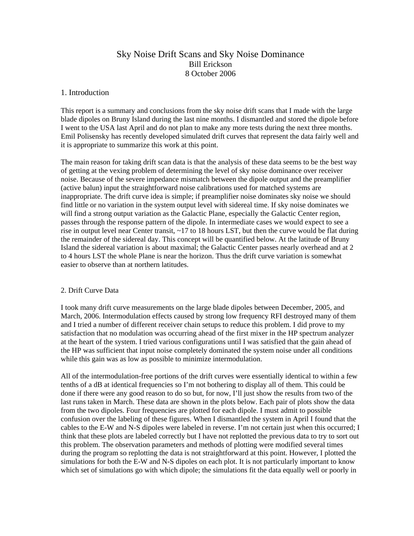# Sky Noise Drift Scans and Sky Noise Dominance Bill Erickson 8 October 2006

### 1. Introduction

This report is a summary and conclusions from the sky noise drift scans that I made with the large blade dipoles on Bruny Island during the last nine months. I dismantled and stored the dipole before I went to the USA last April and do not plan to make any more tests during the next three months. Emil Polisensky has recently developed simulated drift curves that represent the data fairly well and it is appropriate to summarize this work at this point.

The main reason for taking drift scan data is that the analysis of these data seems to be the best way of getting at the vexing problem of determining the level of sky noise dominance over receiver noise. Because of the severe impedance mismatch between the dipole output and the preamplifier (active balun) input the straightforward noise calibrations used for matched systems are inappropriate. The drift curve idea is simple; if preamplifier noise dominates sky noise we should find little or no variation in the system output level with sidereal time. If sky noise dominates we will find a strong output variation as the Galactic Plane, especially the Galactic Center region, passes through the response pattern of the dipole. In intermediate cases we would expect to see a rise in output level near Center transit,  $\sim$ 17 to 18 hours LST, but then the curve would be flat during the remainder of the sidereal day. This concept will be quantified below. At the latitude of Bruny Island the sidereal variation is about maximal; the Galactic Center passes nearly overhead and at 2 to 4 hours LST the whole Plane is near the horizon. Thus the drift curve variation is somewhat easier to observe than at northern latitudes.

# 2. Drift Curve Data

I took many drift curve measurements on the large blade dipoles between December, 2005, and March, 2006. Intermodulation effects caused by strong low frequency RFI destroyed many of them and I tried a number of different receiver chain setups to reduce this problem. I did prove to my satisfaction that no modulation was occurring ahead of the first mixer in the HP spectrum analyzer at the heart of the system. I tried various configurations until I was satisfied that the gain ahead of the HP was sufficient that input noise completely dominated the system noise under all conditions while this gain was as low as possible to minimize intermodulation.

All of the intermodulation-free portions of the drift curves were essentially identical to within a few tenths of a dB at identical frequencies so I'm not bothering to display all of them. This could be done if there were any good reason to do so but, for now, I'll just show the results from two of the last runs taken in March. These data are shown in the plots below. Each pair of plots show the data from the two dipoles. Four frequencies are plotted for each dipole. I must admit to possible confusion over the labeling of these figures. When I dismantled the system in April I found that the cables to the E-W and N-S dipoles were labeled in reverse. I'm not certain just when this occurred; I think that these plots are labeled correctly but I have not replotted the previous data to try to sort out this problem. The observation parameters and methods of plotting were modified several times during the program so replotting the data is not straightforward at this point. However, I plotted the simulations for both the E-W and N-S dipoles on each plot. It is not particularly important to know which set of simulations go with which dipole; the simulations fit the data equally well or poorly in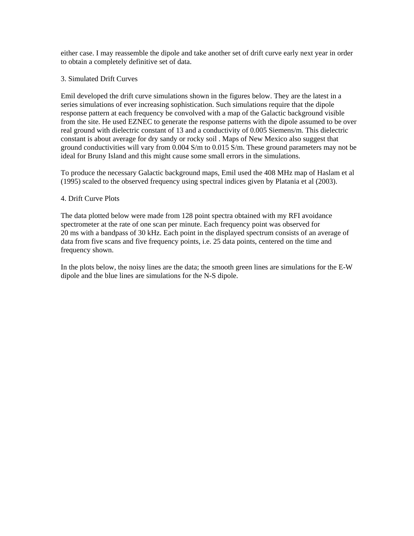either case. I may reassemble the dipole and take another set of drift curve early next year in order to obtain a completely definitive set of data.

### 3. Simulated Drift Curves

Emil developed the drift curve simulations shown in the figures below. They are the latest in a series simulations of ever increasing sophistication. Such simulations require that the dipole response pattern at each frequency be convolved with a map of the Galactic background visible from the site. He used EZNEC to generate the response patterns with the dipole assumed to be over real ground with dielectric constant of 13 and a conductivity of 0.005 Siemens/m. This dielectric constant is about average for dry sandy or rocky soil . Maps of New Mexico also suggest that ground conductivities will vary from 0.004 S/m to 0.015 S/m. These ground parameters may not be ideal for Bruny Island and this might cause some small errors in the simulations.

To produce the necessary Galactic background maps, Emil used the 408 MHz map of Haslam et al (1995) scaled to the observed frequency using spectral indices given by Platania et al (2003).

### 4. Drift Curve Plots

The data plotted below were made from 128 point spectra obtained with my RFI avoidance spectrometer at the rate of one scan per minute. Each frequency point was observed for 20 ms with a bandpass of 30 kHz. Each point in the displayed spectrum consists of an average of data from five scans and five frequency points, i.e. 25 data points, centered on the time and frequency shown.

In the plots below, the noisy lines are the data; the smooth green lines are simulations for the E-W dipole and the blue lines are simulations for the N-S dipole.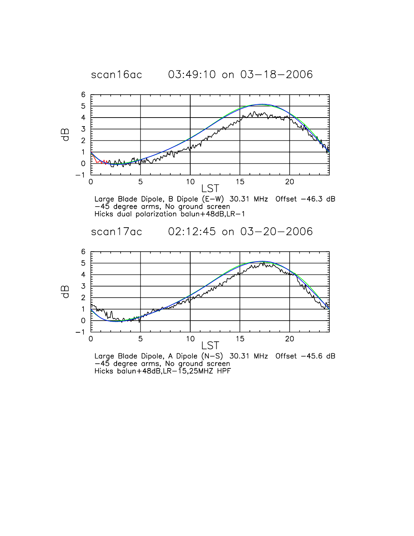

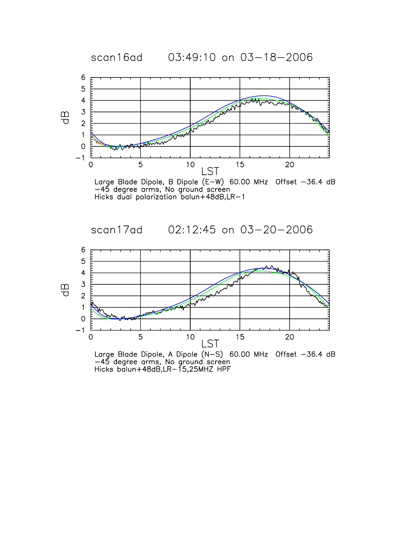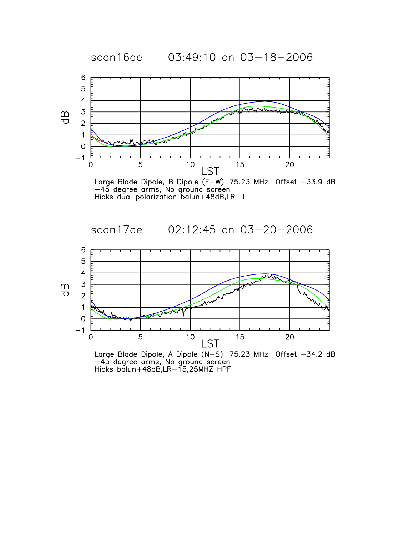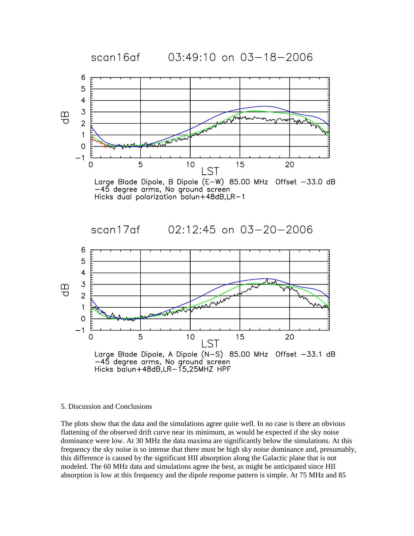

#### 5. Discussion and Conclusions

The plots show that the data and the simulations agree quite well. In no case is there an obvious flattening of the observed drift curve near its minimum, as would be expected if the sky noise dominance were low. At 30 MHz the data maxima are significantly below the simulations. At this frequency the sky noise is so intense that there must be high sky noise dominance and, presumably, this difference is caused by the significant HII absorption along the Galactic plane that is not modeled. The 60 MHz data and simulations agree the best, as might be anticipated since HII absorption is low at this frequency and the dipole response pattern is simple. At 75 MHz and 85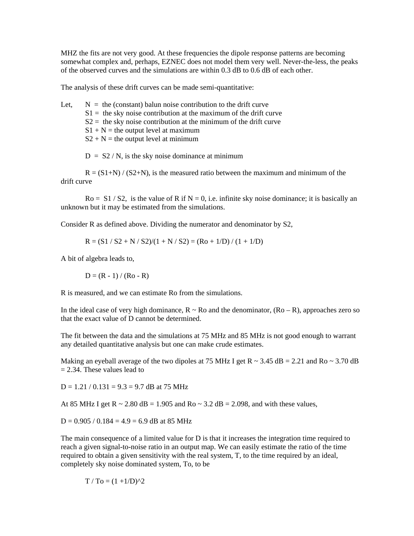MHZ the fits are not very good. At these frequencies the dipole response patterns are becoming somewhat complex and, perhaps, EZNEC does not model them very well. Never-the-less, the peaks of the observed curves and the simulations are within 0.3 dB to 0.6 dB of each other.

The analysis of these drift curves can be made semi-quantitative:

Let,  $N =$  the (constant) balun noise contribution to the drift curve  $S1 =$  the sky noise contribution at the maximum of the drift curve  $S2 =$  the sky noise contribution at the minimum of the drift curve  $S1 + N =$  the output level at maximum  $S2 + N =$  the output level at minimum  $D = S2/N$ , is the sky noise dominance at minimum

 $R = (S1+N) / (S2+N)$ , is the measured ratio between the maximum and minimum of the drift curve

 $Ro = S1 / S2$ , is the value of R if N = 0, i.e. infinite sky noise dominance; it is basically an unknown but it may be estimated from the simulations.

Consider R as defined above. Dividing the numerator and denominator by S2,

$$
R = (S1 / S2 + N / S2)/(1 + N / S2) = (Ro + 1/D) / (1 + 1/D)
$$

A bit of algebra leads to,

$$
D = (R - 1) / (Ro - R)
$$

R is measured, and we can estimate Ro from the simulations.

In the ideal case of very high dominance,  $R \sim Ro$  and the denominator,  $(Ro - R)$ , approaches zero so that the exact value of D cannot be determined.

The fit between the data and the simulations at 75 MHz and 85 MHz is not good enough to warrant any detailed quantitative analysis but one can make crude estimates.

Making an eyeball average of the two dipoles at 75 MHz I get  $R \sim 3.45$  dB = 2.21 and  $Ro \sim 3.70$  dB  $= 2.34$ . These values lead to

 $D = 1.21 / 0.131 = 9.3 = 9.7$  dB at 75 MHz

At 85 MHz I get R  $\sim$  2.80 dB = 1.905 and Ro  $\sim$  3.2 dB = 2.098, and with these values,

 $D = 0.905 / 0.184 = 4.9 = 6.9$  dB at 85 MHz

The main consequence of a limited value for D is that it increases the integration time required to reach a given signal-to-noise ratio in an output map. We can easily estimate the ratio of the time required to obtain a given sensitivity with the real system, T, to the time required by an ideal, completely sky noise dominated system, To, to be

$$
T / To = (1 + 1/D)^2
$$